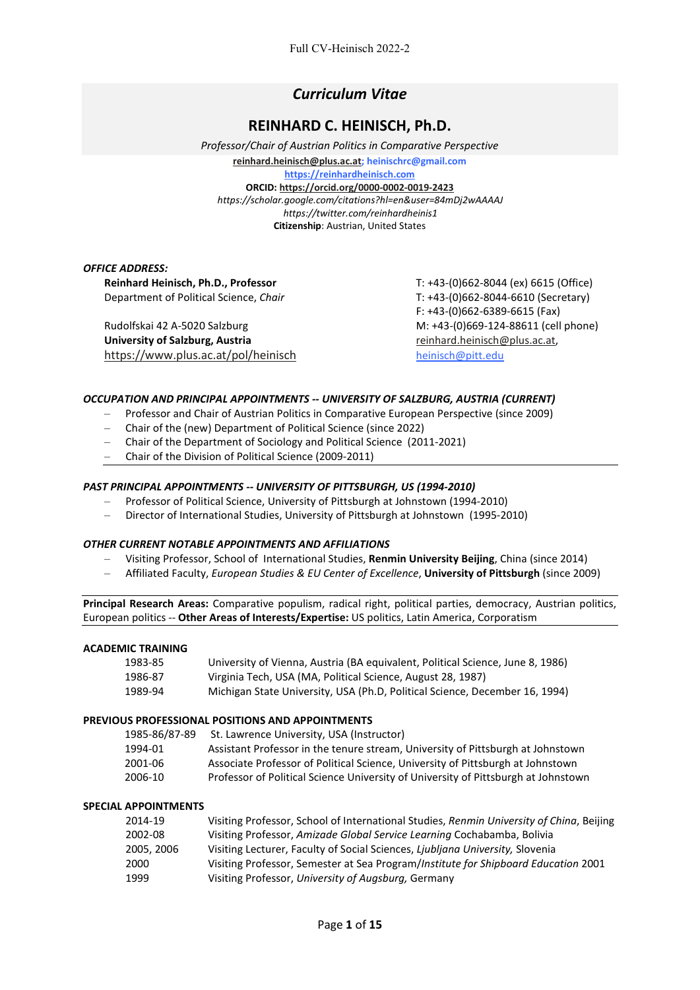# *Curriculum Vitae*

# **REINHARD C. HEINISCH, Ph.D.**

*Professor/Chair of Austrian Politics in Comparative Perspective* **[reinhard.heinisch@plus.ac.at;](mailto:reinhard.heinisch@plus.ac.at) heinischrc@gmail.com [https://reinhardheinisch.com](https://reinhardheinisch.com/) ORCID: <https://orcid.org/0000-0002-0019-2423>** *https://scholar.google.com/citations?hl=en&user=84mDj2wAAAAJ https://twitter.com/reinhardheinis1* **Citizenship**: Austrian, United States

#### *OFFICE ADDRESS:*

**Reinhard Heinisch, Ph.D., Professor** T: +43-(0)662-8044 (ex) 6615 (Office) Department of Political Science, *Chair* T: +43-(0)662-8044-6610 (Secretary)

Rudolfskai 42 A-5020 Salzburg M: +43-(0)669-124-88611 (cell phone) **University of Salzburg, Austria** [reinhard.heinisch@plus.ac.at,](mailto:reinhard.heinisch@plus.ac.at) <https://www.plus.ac.at/pol/heinisch> heinisch [heinisch@pitt.edu](mailto:heinisch@pitt.edu)

F: +43-(0)662-6389-6615 (Fax)

## *OCCUPATION AND PRINCIPAL APPOINTMENTS -- UNIVERSITY OF SALZBURG, AUSTRIA (CURRENT)*

- Professor and Chair of Austrian Politics in Comparative European Perspective (since 2009)
- Chair of the (new) Department of Political Science (since 2022)
- Chair of the Department of Sociology and Political Science (2011-2021)
- Chair of the Division of Political Science (2009-2011)

## *PAST PRINCIPAL APPOINTMENTS -- UNIVERSITY OF PITTSBURGH, US (1994-2010)*

- Professor of Political Science, University of Pittsburgh at Johnstown (1994-2010)
- Director of International Studies, University of Pittsburgh at Johnstown (1995-2010)

## *OTHER CURRENT NOTABLE APPOINTMENTS AND AFFILIATIONS*

- Visiting Professor, School of International Studies, **Renmin University Beijing**, China (since 2014)
- Affiliated Faculty, *European Studies & EU Center of Excellence*, **University of Pittsburgh** (since 2009)

**Principal Research Areas:** Comparative populism, radical right, political parties, democracy, Austrian politics, European politics -- **Other Areas of Interests/Expertise:** US politics, Latin America, Corporatism

## **ACADEMIC TRAINING**

| 1983-85 | University of Vienna, Austria (BA equivalent, Political Science, June 8, 1986) |
|---------|--------------------------------------------------------------------------------|
| 1986-87 | Virginia Tech, USA (MA, Political Science, August 28, 1987)                    |
| 1989-94 | Michigan State University, USA (Ph.D, Political Science, December 16, 1994)    |

## **PREVIOUS PROFESSIONAL POSITIONS AND APPOINTMENTS**

| 1985-86/87-89 | St. Lawrence University, USA (Instructor)                                          |
|---------------|------------------------------------------------------------------------------------|
| 1994-01       | Assistant Professor in the tenure stream, University of Pittsburgh at Johnstown    |
| 2001-06       | Associate Professor of Political Science, University of Pittsburgh at Johnstown    |
| 2006-10       | Professor of Political Science University of University of Pittsburgh at Johnstown |

## **SPECIAL APPOINTMENTS**

| 2014-19    | Visiting Professor, School of International Studies, Renmin University of China, Beijing |
|------------|------------------------------------------------------------------------------------------|
| 2002-08    | Visiting Professor, Amizade Global Service Learning Cochabamba, Bolivia                  |
| 2005, 2006 | Visiting Lecturer, Faculty of Social Sciences, Ljubljana University, Slovenia            |
| 2000       | Visiting Professor, Semester at Sea Program/Institute for Shipboard Education 2001       |
| 1999       | Visiting Professor, University of Augsburg, Germany                                      |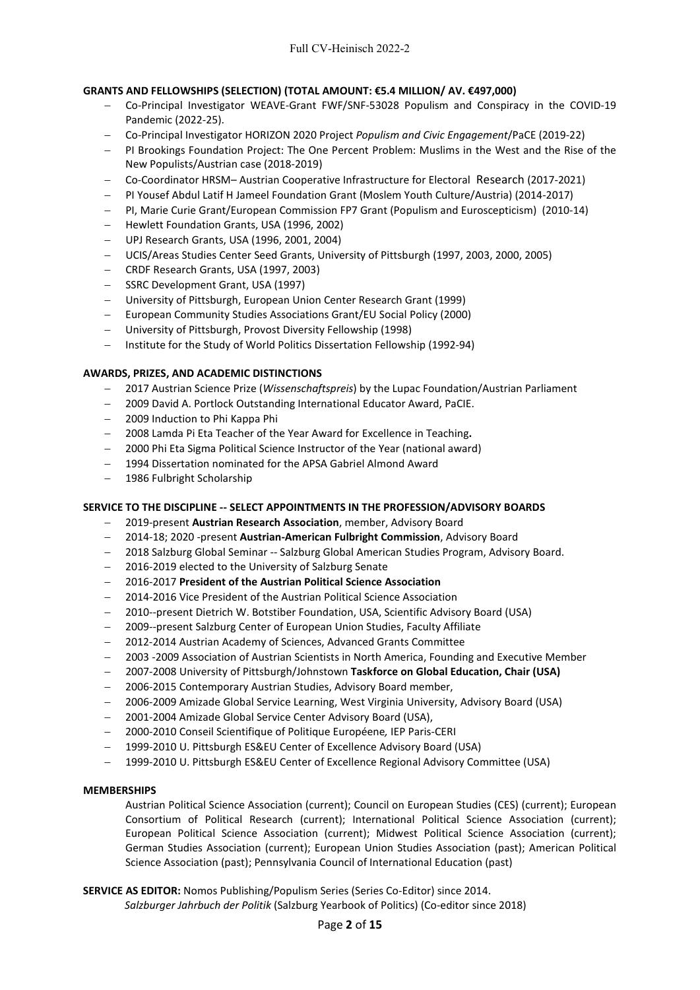## **GRANTS AND FELLOWSHIPS (SELECTION) (TOTAL AMOUNT: €5.4 MILLION/ AV. €497,000)**

- − Co-Principal Investigator WEAVE-Grant FWF/SNF-53028 Populism and Conspiracy in the COVID-19 Pandemic (2022-25).
- − Co-Principal Investigator HORIZON 2020 Project *Populism and Civic Engagement*/PaCE (2019-22)
- − PI Brookings Foundation Project: The One Percent Problem: Muslims in the West and the Rise of the New Populists/Austrian case (2018-2019)
- − Co-Coordinator HRSM– Austrian Cooperative Infrastructure for Electoral Research (2017-2021)
- − PI Yousef Abdul Latif H Jameel Foundation Grant (Moslem Youth Culture/Austria) (2014-2017)
- − PI, Marie Curie Grant/European Commission FP7 Grant (Populism and Euroscepticism) (2010-14)
- − Hewlett Foundation Grants, USA (1996, 2002)
- − UPJ Research Grants, USA (1996, 2001, 2004)
- − UCIS/Areas Studies Center Seed Grants, University of Pittsburgh (1997, 2003, 2000, 2005)
- − CRDF Research Grants, USA (1997, 2003)
- − SSRC Development Grant, USA (1997)
- − University of Pittsburgh, European Union Center Research Grant (1999)
- − European Community Studies Associations Grant/EU Social Policy (2000)
- − University of Pittsburgh, Provost Diversity Fellowship (1998)
- − Institute for the Study of World Politics Dissertation Fellowship (1992-94)

## **AWARDS, PRIZES, AND ACADEMIC DISTINCTIONS**

- − 2017 Austrian Science Prize (*Wissenschaftspreis*) by the Lupac Foundation/Austrian Parliament
- − 2009 David A. Portlock Outstanding International Educator Award, PaCIE.
- − 2009 Induction to Phi Kappa Phi
- − 2008 Lamda Pi Eta Teacher of the Year Award for Excellence in Teaching**.**
- − 2000 Phi Eta Sigma Political Science Instructor of the Year (national award)
- − 1994 Dissertation nominated for the APSA Gabriel Almond Award
- − 1986 Fulbright Scholarship

## **SERVICE TO THE DISCIPLINE -- SELECT APPOINTMENTS IN THE PROFESSION/ADVISORY BOARDS**

- − 2019-present **Austrian Research Association**, member, Advisory Board
- − 2014-18; 2020 -present **Austrian-American Fulbright Commission**, Advisory Board
- − 2018 Salzburg Global Seminar -- Salzburg Global American Studies Program, Advisory Board.
- − 2016-2019 elected to the University of Salzburg Senate
- − 2016-2017 **President of the Austrian Political Science Association**
- − 2014-2016 Vice President of the Austrian Political Science Association
- − 2010--present Dietrich W. Botstiber Foundation, USA, Scientific Advisory Board (USA)
- − 2009--present Salzburg Center of European Union Studies, Faculty Affiliate
- − 2012-2014 Austrian Academy of Sciences, Advanced Grants Committee
- − 2003 -2009 Association of Austrian Scientists in North America, Founding and Executive Member
- − 2007-2008 University of Pittsburgh/Johnstown **Taskforce on Global Education, Chair (USA)**
- − 2006-2015 Contemporary Austrian Studies, Advisory Board member,
- − 2006-2009 Amizade Global Service Learning, West Virginia University, Advisory Board (USA)
- − 2001-2004 Amizade Global Service Center Advisory Board (USA),
- − 2000-2010 Conseil Scientifique of Politique Européene*,* IEP Paris-CERI
- − 1999-2010 U. Pittsburgh ES&EU Center of Excellence Advisory Board (USA)
- − 1999-2010 U. Pittsburgh ES&EU Center of Excellence Regional Advisory Committee (USA)

## **MEMBERSHIPS**

Austrian Political Science Association (current); Council on European Studies (CES) (current); European Consortium of Political Research (current); International Political Science Association (current); European Political Science Association (current); Midwest Political Science Association (current); German Studies Association (current); European Union Studies Association (past); American Political Science Association (past); Pennsylvania Council of International Education (past)

**SERVICE AS EDITOR:** Nomos Publishing/Populism Series (Series Co-Editor) since 2014.

*Salzburger Jahrbuch der Politik* (Salzburg Yearbook of Politics) (Co-editor since 2018)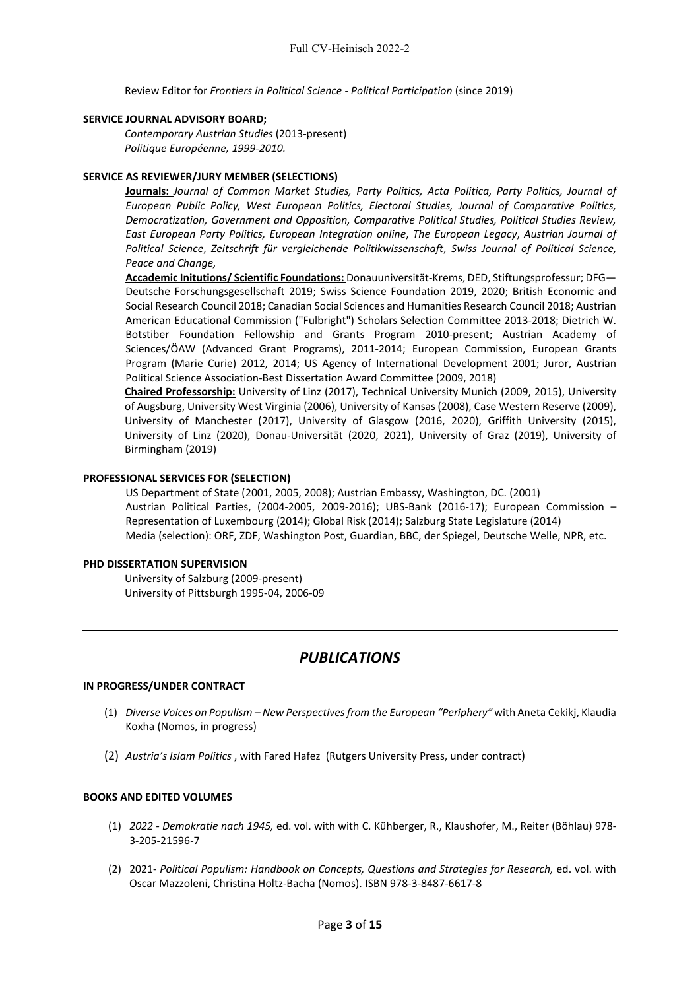Review Editor for *Frontiers in Political Science - Political Participation* (since 2019)

#### **SERVICE JOURNAL ADVISORY BOARD;**

*Contemporary Austrian Studies* (2013-present) *Politique Européenne, 1999-2010.*

#### **SERVICE AS REVIEWER/JURY MEMBER (SELECTIONS)**

**Journals:** *Journal of Common Market Studies, Party Politics, Acta Politica, Party Politics, Journal of European Public Policy, West European Politics, Electoral Studies, Journal of Comparative Politics, Democratization, Government and Opposition, Comparative Political Studies, Political Studies Review, East European Party Politics, European Integration online*, *The European Legacy*, *Austrian Journal of Political Science*, *Zeitschrift für vergleichende Politikwissenschaft*, *Swiss Journal of Political Science, Peace and Change,* 

**Accademic Initutions/ Scientific Foundations:** Donauuniversität-Krems, DED, Stiftungsprofessur; DFG— Deutsche Forschungsgesellschaft 2019; Swiss Science Foundation 2019, 2020; British Economic and Social Research Council 2018; Canadian Social Sciences and Humanities Research Council 2018; Austrian American Educational Commission ("Fulbright") Scholars Selection Committee 2013-2018; Dietrich W. Botstiber Foundation Fellowship and Grants Program 2010-present; Austrian Academy of Sciences/ÖAW (Advanced Grant Programs), 2011-2014; European Commission, European Grants Program (Marie Curie) 2012, 2014; US Agency of International Development 2001; Juror, Austrian Political Science Association-Best Dissertation Award Committee (2009, 2018)

**Chaired Professorship:** University of Linz (2017), Technical University Munich (2009, 2015), University of Augsburg, University West Virginia (2006), University of Kansas (2008), Case Western Reserve (2009), University of Manchester (2017), University of Glasgow (2016, 2020), Griffith University (2015), University of Linz (2020), Donau-Universität (2020, 2021), University of Graz (2019), University of Birmingham (2019)

#### **PROFESSIONAL SERVICES FOR (SELECTION)**

US Department of State (2001, 2005, 2008); Austrian Embassy, Washington, DC. (2001) Austrian Political Parties, (2004-2005, 2009-2016); UBS-Bank (2016-17); European Commission – Representation of Luxembourg (2014); Global Risk (2014); Salzburg State Legislature (2014) Media (selection): ORF, ZDF, Washington Post, Guardian, BBC, der Spiegel, Deutsche Welle, NPR, etc.

#### **PHD DISSERTATION SUPERVISION**

University of Salzburg (2009-present) University of Pittsburgh 1995-04, 2006-09

# *PUBLICATIONS*

#### **IN PROGRESS/UNDER CONTRACT**

- (1) *Diverse Voices on Populism – New Perspectivesfrom the European "Periphery"* with Aneta Cekikj, Klaudia Koxha (Nomos, in progress)
- (2) *Austria's Islam Politics* , with Fared Hafez (Rutgers University Press, under contract)

## **BOOKS AND EDITED VOLUMES**

- (1) *2022 - Demokratie nach 1945,* ed. vol. with with C. Kühberger, R., Klaushofer, M., Reiter (Böhlau) 978- 3-205-21596-7
- (2) 2021- *Political Populism: Handbook on Concepts, Questions and Strategies for Research,* ed. vol. with Oscar Mazzoleni, Christina Holtz-Bacha (Nomos). ISBN 978-3-8487-6617-8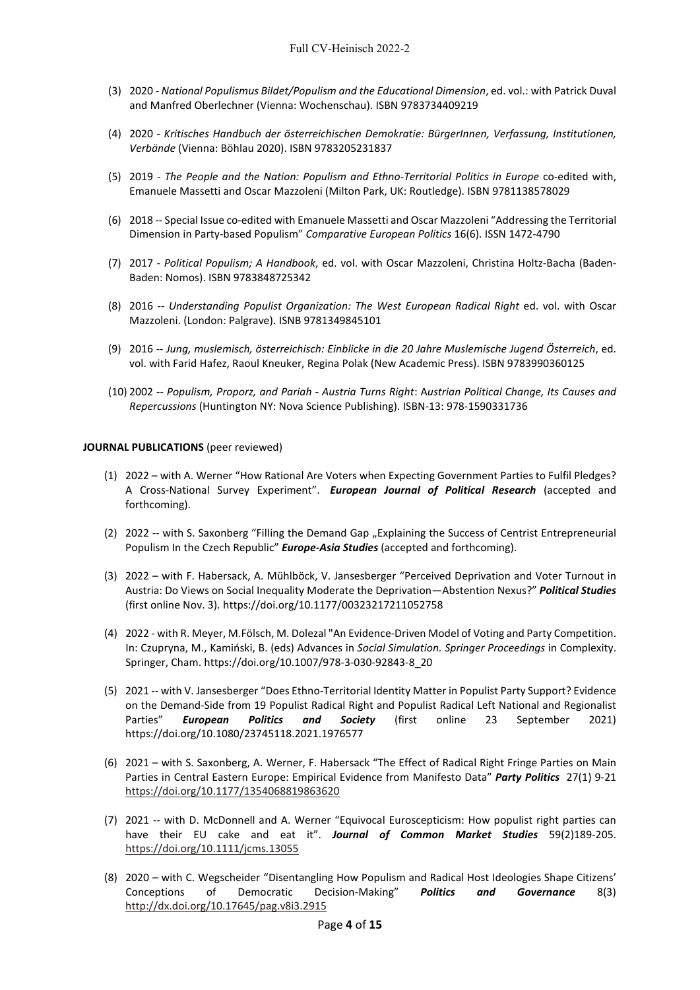- (3) 2020 *National Populismus Bildet/Populism and the Educational Dimension*, ed. vol.: with Patrick Duval and Manfred Oberlechner (Vienna: Wochenschau). ISBN 9783734409219
- (4) 2020 *Kritisches Handbuch der österreichischen Demokratie: BürgerInnen, Verfassung, Institutionen, Verbände* (Vienna: Böhlau 2020). ISBN 9783205231837
- (5) 2019 *The People and the Nation: Populism and Ethno-Territorial Politics in Europe* co-edited with, Emanuele Massetti and Oscar Mazzoleni (Milton Park, UK: Routledge). ISBN 9781138578029
- (6) 2018 -- Special Issue co-edited with Emanuele Massetti and Oscar Mazzoleni "Addressing the Territorial Dimension in Party-based Populism" *Comparative European Politics* 16(6). ISSN 1472-4790
- (7) 2017 *Political Populism; A Handbook*, ed. vol. with Oscar Mazzoleni, Christina Holtz-Bacha (Baden-Baden: Nomos). ISBN 9783848725342
- (8) 2016 -- *Understanding Populist Organization: The West European Radical Right* ed. vol. with Oscar Mazzoleni. (London: Palgrave). ISNB 9781349845101
- (9) 2016 -- *Jung, muslemisch, österreichisch: Einblicke in die 20 Jahre Muslemische Jugend Österreich*, ed. vol. with Farid Hafez, Raoul Kneuker, Regina Polak (New Academic Press). ISBN 9783990360125
- (10) 2002 -- *Populism, Proporz, and Pariah - Austria Turns Right*: A*ustrian Political Change, Its Causes and Repercussions* (Huntington NY: Nova Science Publishing). ISBN-13: 978-1590331736

#### **JOURNAL PUBLICATIONS** (peer reviewed)

- (1) 2022 with A. Werner "How Rational Are Voters when Expecting Government Parties to Fulfil Pledges? A Cross-National Survey Experiment". *European Journal of Political Research* (accepted and forthcoming).
- (2) 2022 -- with S. Saxonberg "Filling the Demand Gap "Explaining the Success of Centrist Entrepreneurial Populism In the Czech Republic" *Europe-Asia Studies* (accepted and forthcoming).
- (3) 2022 with F. Habersack, A. Mühlböck, V. Jansesberger "Perceived Deprivation and Voter Turnout in Austria: Do Views on Social Inequality Moderate the Deprivation—Abstention Nexus?" *Political Studies* (first online Nov. 3). https://doi.org/10.1177/00323217211052758
- (4) 2022 with R. Meyer, M.Fölsch, M. Dolezal "An Evidence-Driven Model of Voting and Party Competition. In: Czupryna, M., Kamiński, B. (eds) Advances in *Social Simulation. Springer Proceedings* in Complexity. Springer, Cham. https://doi.org/10.1007/978-3-030-92843-8\_20
- (5) 2021 -- with V. Jansesberger "Does Ethno-Territorial Identity Matter in Populist Party Support? Evidence on the Demand-Side from 19 Populist Radical Right and Populist Radical Left National and Regionalist Parties" *European Politics and Society* (first online 23 September 2021) https://doi.org/10.1080/23745118.2021.1976577
- (6) 2021 with S. Saxonberg, A. Werner, F. Habersack "The Effect of Radical Right Fringe Parties on Main Parties in Central Eastern Europe: Empirical Evidence from Manifesto Data" *Party Politics* 27(1) 9-21 <https://doi.org/10.1177/1354068819863620>
- (7) 2021 -- with D. McDonnell and A. Werner "Equivocal Euroscepticism: How populist right parties can have their EU cake and eat it". *Journal of Common Market Studies* 59(2)189-205. <https://doi.org/10.1111/jcms.13055>
- (8) 2020 with C. Wegscheider "Disentangling How Populism and Radical Host Ideologies Shape Citizens' Conceptions of Democratic Decision-Making" *Politics and Governance* 8(3) <http://dx.doi.org/10.17645/pag.v8i3.2915>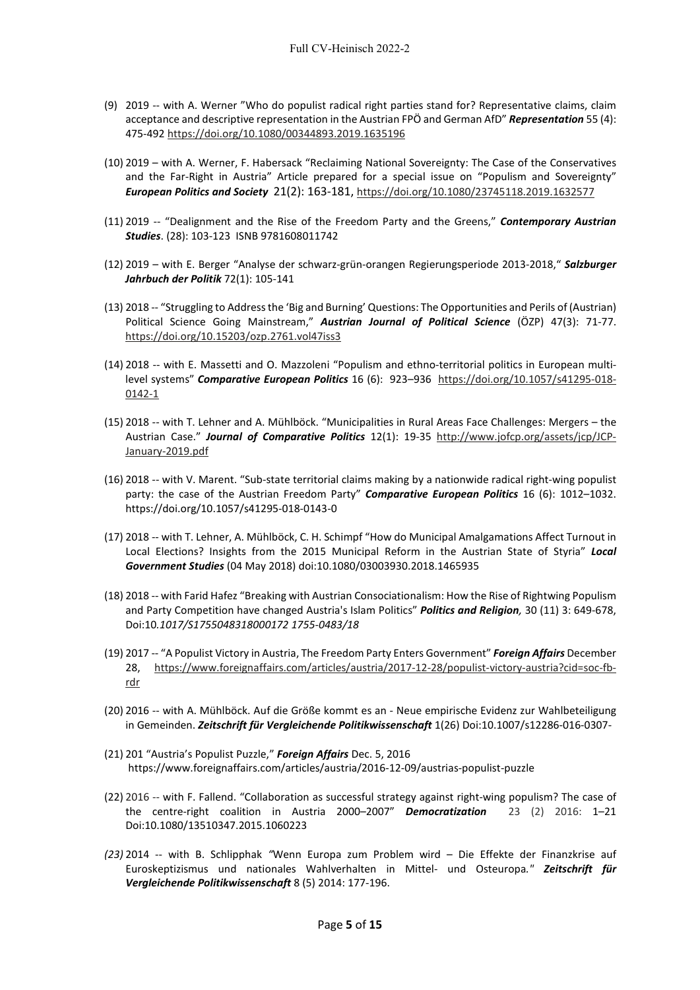- (9) 2019 -- with A. Werner "Who do populist radical right parties stand for? Representative claims, claim acceptance and descriptive representation in the Austrian FPÖ and German AfD" *Representation* 55 (4): 475-492 <https://doi.org/10.1080/00344893.2019.1635196>
- (10) 2019 with A. Werner, F. Habersack "Reclaiming National Sovereignty: The Case of the Conservatives and the Far-Right in Austria" Article prepared for a special issue on "Populism and Sovereignty" *European Politics and Society* 21(2): 163-181[, https://doi.org/10.1080/23745118.2019.1632577](https://doi.org/10.1080/23745118.2019.1632577)
- (11) 2019 -- "Dealignment and the Rise of the Freedom Party and the Greens," *Contemporary Austrian Studies*. (28): 103-123 ISNB 9781608011742
- (12) 2019 with E. Berger "Analyse der schwarz-grün-orangen Regierungsperiode 2013-2018," *Salzburger Jahrbuch der Politik* 72(1): 105-141
- (13) 2018 -- "Struggling to Address the 'Big and Burning' Questions: The Opportunities and Perils of (Austrian) Political Science Going Mainstream," *Austrian Journal of Political Science* (ÖZP) 47(3): 71-77. <https://doi.org/10.15203/ozp.2761.vol47iss3>
- (14) 2018 -- with E. Massetti and O. Mazzoleni "Populism and ethno-territorial politics in European multilevel systems" *Comparative European Politics* 16 (6): 923–936 [https://doi.org/10.1057/s41295-018-](https://doi.org/10.1057/s41295-018-0142-1) [0142-1](https://doi.org/10.1057/s41295-018-0142-1)
- (15) 2018 -- with T. Lehner and A. Mühlböck. "Municipalities in Rural Areas Face Challenges: Mergers the Austrian Case." *Journal of Comparative Politics* 12(1): 19-35 [http://www.jofcp.org/assets/jcp/JCP-](http://www.jofcp.org/assets/jcp/JCP-January-2019.pdf)[January-2019.pdf](http://www.jofcp.org/assets/jcp/JCP-January-2019.pdf)
- (16) 2018 -- with V. Marent. "Sub-state territorial claims making by a nationwide radical right-wing populist party: the case of the Austrian Freedom Party" *Comparative European Politics* 16 (6): 1012–1032. https://doi.org/10.1057/s41295-018-0143-0
- (17) 2018 -- with T. Lehner, A. Mühlböck, C. H. Schimpf "How do Municipal Amalgamations Affect Turnout in Local Elections? Insights from the 2015 Municipal Reform in the Austrian State of Styria" *Local Government Studies* (04 May 2018) doi:10.1080/03003930.2018.1465935
- (18) 2018 -- with Farid Hafez "Breaking with Austrian Consociationalism: How the Rise of Rightwing Populism and Party Competition have changed Austria's Islam Politics" *Politics and Religion,* 30 (11) 3: 649-678, Doi:10*.1017/S1755048318000172 1755-0483/18*
- (19) 2017 -- "A Populist Victory in Austria, The Freedom Party Enters Government" *Foreign Affairs* December 28, [https://www.foreignaffairs.com/articles/austria/2017-12-28/populist-victory-austria?cid=soc-fb](https://www.foreignaffairs.com/articles/austria/2017-12-28/populist-victory-austria?cid=soc-fb-rdr)[rdr](https://www.foreignaffairs.com/articles/austria/2017-12-28/populist-victory-austria?cid=soc-fb-rdr)
- (20) 2016 -- with A. Mühlböck. Auf die Größe kommt es an Neue empirische Evidenz zur Wahlbeteiligung in Gemeinden. *Zeitschrift für Vergleichende Politikwissenschaft* 1(26) Doi:10.1007/s12286-016-0307-
- (21) 201 "Austria's Populist Puzzle," *Foreign Affairs* Dec. 5, 2016 https://www.foreignaffairs.com/articles/austria/2016-12-09/austrias-populist-puzzle
- (22) 2016 -- with F. Fallend. "Collaboration as successful strategy against right-wing populism? The case of the centre-right coalition in Austria 2000–2007" *Democratization*23 (2) 2016: 1–21 Doi:10.1080/13510347.2015.1060223
- *(23)* 2014 -- with B. Schlipphak *"*Wenn Europa zum Problem wird Die Effekte der Finanzkrise auf Euroskeptizismus und nationales Wahlverhalten in Mittel- und Osteuropa*." Zeitschrift für Vergleichende Politikwissenschaft* 8 (5) 2014: 177-196.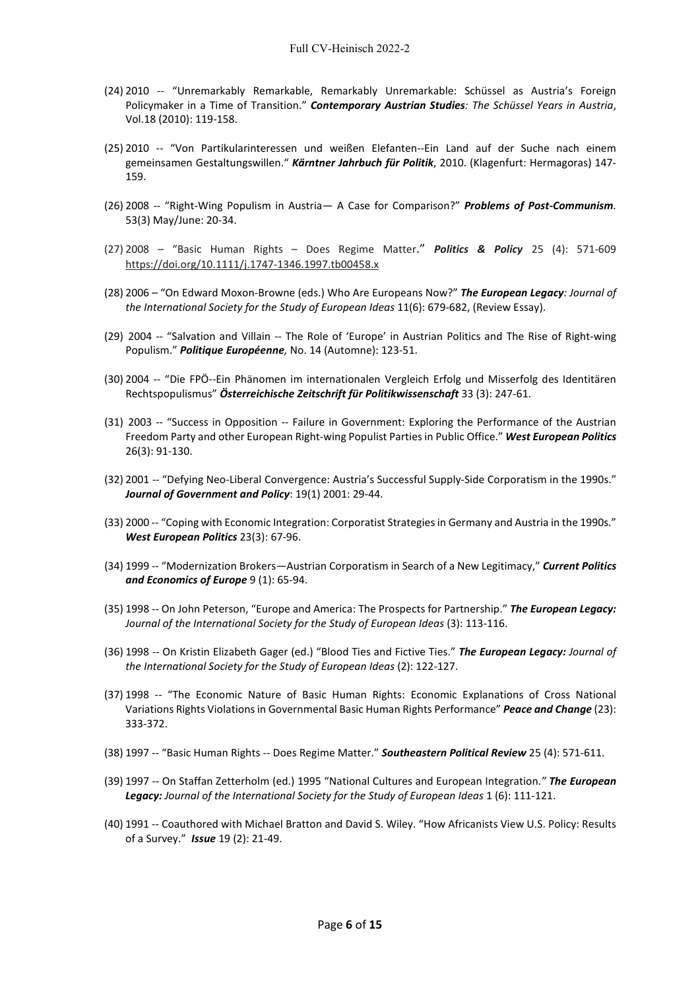- (24) 2010 -- "Unremarkably Remarkable, Remarkably Unremarkable: Schüssel as Austria's Foreign Policymaker in a Time of Transition." *Contemporary Austrian Studies: The Schüssel Years in Austria*, Vol.18 (2010): 119-158.
- (25) 2010 -- "Von Partikularinteressen und weißen Elefanten--Ein Land auf der Suche nach einem gemeinsamen Gestaltungswillen." *Kärntner Jahrbuch für Politik*, 2010. (Klagenfurt: Hermagoras) 147- 159.
- (26) 2008 -- "Right-Wing Populism in Austria— A Case for Comparison?" *Problems of Post-Communism.*  53(3) May/June: 20-34.
- (27) 2008 "Basic Human Rights Does Regime Matter." *Politics & Policy* [25 \(4\)](https://onlinelibrary.wiley.com/toc/17471346a/1997/25/4): 571-609 <https://doi.org/10.1111/j.1747-1346.1997.tb00458.x>
- (28) 2006 "On Edward Moxon-Browne (eds.) Who Are Europeans Now?" *The European Legacy: Journal of the International Society for the Study of European Ideas* 11(6): 679-682, (Review Essay).
- (29) 2004 -- "Salvation and Villain -- The Role of 'Europe' in Austrian Politics and The Rise of Right-wing Populism." *Politique Européenne,* No. 14 (Automne): 123-51.
- (30) 2004 -- "Die FPÖ--Ein Phänomen im internationalen Vergleich Erfolg und Misserfolg des Identitären Rechtspopulismus" *Österreichische Zeitschrift für Politikwissenschaft* 33 (3): 247-61.
- (31) 2003 -- "Success in Opposition -- Failure in Government: Exploring the Performance of the Austrian Freedom Party and other European Right-wing Populist Parties in Public Office." *West European Politics* 26(3): 91-130.
- (32) 2001 -- "Defying Neo-Liberal Convergence: Austria's Successful Supply-Side Corporatism in the 1990s." *Journal of Government and Policy*: 19(1) 2001: 29-44.
- (33) 2000 -- "Coping with Economic Integration: Corporatist Strategies in Germany and Austria in the 1990s." *West European Politics* 23(3): 67-96.
- (34) 1999 -- "Modernization Brokers—Austrian Corporatism in Search of a New Legitimacy," *Current Politics and Economics of Europe* 9 (1): 65-94.
- (35) 1998 -- On John Peterson, "Europe and America: The Prospects for Partnership." *The European Legacy: Journal of the International Society for the Study of European Ideas* (3): 113-116.
- (36) 1998 -- On Kristin Elizabeth Gager (ed.) "Blood Ties and Fictive Ties." *The European Legacy: Journal of the International Society for the Study of European Ideas* (2): 122-127.
- (37) 1998 -- "The Economic Nature of Basic Human Rights: Economic Explanations of Cross National Variations Rights Violations in Governmental Basic Human Rights Performance" *Peace and Change* (23): 333-372.
- (38) 1997 -- "Basic Human Rights -- Does Regime Matter." *Southeastern Political Review* 25 (4): 571-611.
- (39) 1997 -- On Staffan Zetterholm (ed.) 1995 "National Cultures and European Integration.*" The European Legacy: Journal of the International Society for the Study of European Ideas* 1 (6): 111-121.
- (40) 1991 -- Coauthored with Michael Bratton and David S. Wiley. "How Africanists View U.S. Policy: Results of a Survey." *Issue* 19 (2): 21-49.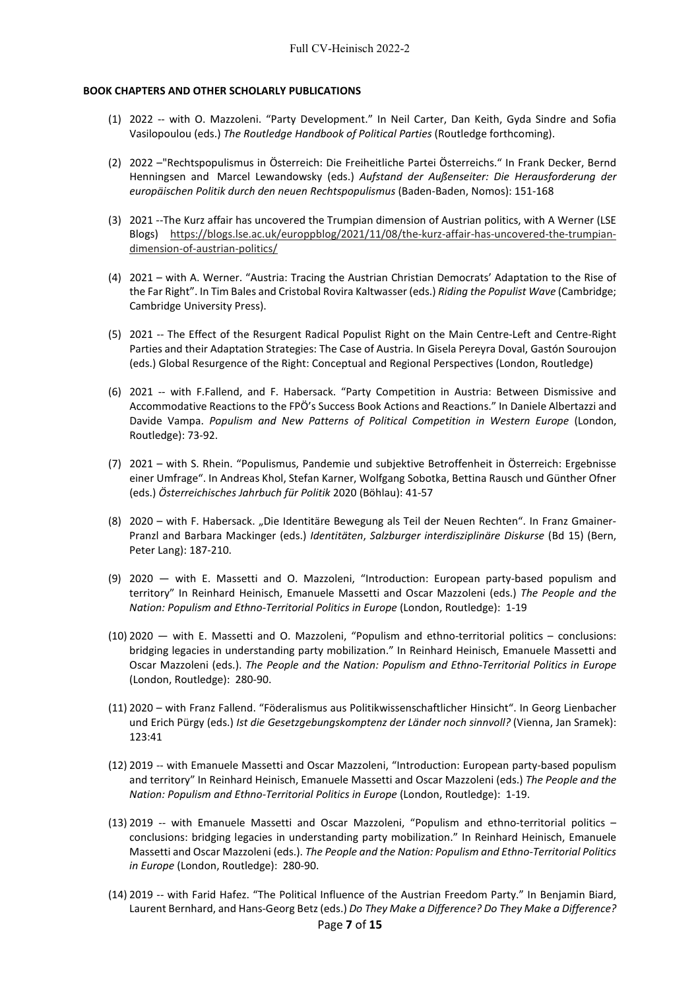#### **BOOK CHAPTERS AND OTHER SCHOLARLY PUBLICATIONS**

- (1) 2022 -- with O. Mazzoleni. "Party Development." In Neil Carter, Dan Keith, Gyda Sindre and Sofia Vasilopoulou (eds.) *The Routledge Handbook of Political Parties* (Routledge forthcoming).
- (2) 2022 –"Rechtspopulismus in Österreich: Die Freiheitliche Partei Österreichs." In Frank Decker, Bernd Henningsen and Marcel Lewandowsky (eds.) *Aufstand der Außenseiter: Die Herausforderung der europäischen Politik durch den neuen Rechtspopulismus* (Baden-Baden, Nomos): 151-168
- (3) 2021 --The Kurz affair has uncovered the Trumpian dimension of Austrian politics, with A Werner (LSE Blogs) [https://blogs.lse.ac.uk/europpblog/2021/11/08/the-kurz-affair-has-uncovered-the-trumpian](https://blogs.lse.ac.uk/europpblog/2021/11/08/the-kurz-affair-has-uncovered-the-trumpian-dimension-of-austrian-politics/)[dimension-of-austrian-politics/](https://blogs.lse.ac.uk/europpblog/2021/11/08/the-kurz-affair-has-uncovered-the-trumpian-dimension-of-austrian-politics/)
- (4) 2021 with A. Werner. "Austria: Tracing the Austrian Christian Democrats' Adaptation to the Rise of the Far Right". In Tim Bales and Cristobal Rovira Kaltwasser (eds.) *Riding the Populist Wave* (Cambridge; Cambridge University Press).
- (5) 2021 -- The Effect of the Resurgent Radical Populist Right on the Main Centre-Left and Centre-Right Parties and their Adaptation Strategies: The Case of Austria. In Gisela Pereyra Doval, Gastón Souroujon (eds.) Global Resurgence of the Right: Conceptual and Regional Perspectives (London, Routledge)
- (6) 2021 -- with F.Fallend, and F. Habersack. "Party Competition in Austria: Between Dismissive and Accommodative Reactions to the FPÖ's Success Book Actions and Reactions." In Daniele Albertazzi and Davide Vampa. *Populism and New Patterns of Political Competition in Western Europe* (London, Routledge): 73-92.
- (7) 2021 with S. Rhein. "Populismus, Pandemie und subjektive Betroffenheit in Österreich: Ergebnisse einer Umfrage". In Andreas Khol, Stefan Karner, Wolfgang Sobotka, Bettina Rausch und Günther Ofner (eds.) *Österreichisches Jahrbuch für Politik* 2020 (Böhlau): 41-57
- (8) 2020 with F. Habersack. "Die Identitäre Bewegung als Teil der Neuen Rechten". In Franz Gmainer-Pranzl and Barbara Mackinger (eds.) *Identitäten*, *Salzburger interdisziplinäre Diskurse* (Bd 15) (Bern, Peter Lang): 187-210.
- (9) 2020 with E. Massetti and O. Mazzoleni, "Introduction: European party-based populism and territory" In Reinhard Heinisch, Emanuele Massetti and Oscar Mazzoleni (eds.) *The People and the Nation: Populism and Ethno-Territorial Politics in Europe* (London, Routledge): 1-19
- (10) 2020 with E. Massetti and O. Mazzoleni, "Populism and ethno-territorial politics conclusions: bridging legacies in understanding party mobilization." In Reinhard Heinisch, Emanuele Massetti and Oscar Mazzoleni (eds.). *The People and the Nation: Populism and Ethno-Territorial Politics in Europe* (London, Routledge): 280-90.
- (11) 2020 with Franz Fallend. "Föderalismus aus Politikwissenschaftlicher Hinsicht". In Georg Lienbacher und Erich Pürgy (eds.) *Ist die Gesetzgebungskomptenz der Länder noch sinnvoll?* (Vienna, Jan Sramek): 123:41
- (12) 2019 -- with Emanuele Massetti and Oscar Mazzoleni, "Introduction: European party-based populism and territory" In Reinhard Heinisch, Emanuele Massetti and Oscar Mazzoleni (eds.) *The People and the Nation: Populism and Ethno-Territorial Politics in Europe* (London, Routledge): 1-19.
- (13) 2019 -- with Emanuele Massetti and Oscar Mazzoleni, "Populism and ethno-territorial politics conclusions: bridging legacies in understanding party mobilization." In Reinhard Heinisch, Emanuele Massetti and Oscar Mazzoleni (eds.). *The People and the Nation: Populism and Ethno-Territorial Politics in Europe* (London, Routledge): 280-90.
- (14) 2019 -- with Farid Hafez. "The Political Influence of the Austrian Freedom Party." In Benjamin Biard, Laurent Bernhard, and Hans-Georg Betz (eds.) *Do They Make a Difference? Do They Make a Difference?*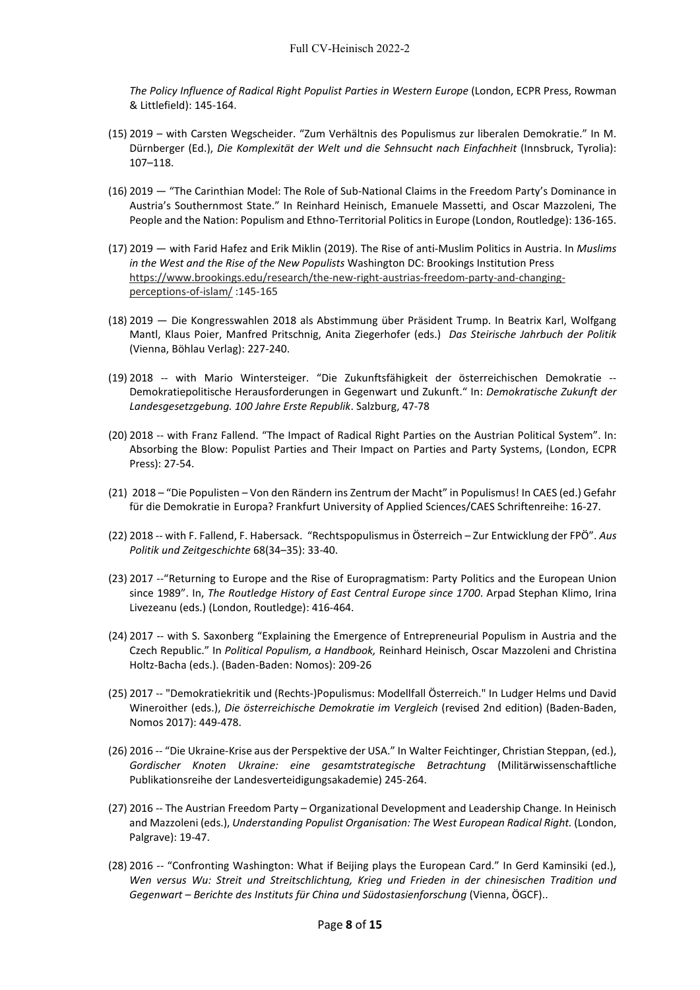*The Policy Influence of Radical Right Populist Parties in Western Europe* (London, ECPR Press, Rowman & Littlefield): 145-164.

- (15) 2019 with Carsten Wegscheider. "Zum Verhältnis des Populismus zur liberalen Demokratie." In M. Dürnberger (Ed.), *Die Komplexität der Welt und die Sehnsucht nach Einfachheit* (Innsbruck, Tyrolia): 107–118.
- (16) 2019 "The Carinthian Model: The Role of Sub-National Claims in the Freedom Party's Dominance in Austria's Southernmost State." In Reinhard Heinisch, Emanuele Massetti, and Oscar Mazzoleni, The People and the Nation: Populism and Ethno-Territorial Politics in Europe (London, Routledge): 136-165.
- (17) 2019 with Farid Hafez and Erik Miklin (2019). The Rise of anti-Muslim Politics in Austria. In *Muslims in the West and the Rise of the New Populists* Washington DC: Brookings Institution Press [https://www.brookings.edu/research/the-new-right-austrias-freedom-party-and-changing](https://www.brookings.edu/research/the-new-right-austrias-freedom-party-and-changing-perceptions-of-islam/)[perceptions-of-islam/](https://www.brookings.edu/research/the-new-right-austrias-freedom-party-and-changing-perceptions-of-islam/) :145-165
- (18) 2019 Die Kongresswahlen 2018 als Abstimmung über Präsident Trump. In Beatrix Karl, Wolfgang Mantl, Klaus Poier, Manfred Pritschnig, Anita Ziegerhofer (eds.) *Das Steirische Jahrbuch der Politik* (Vienna, Böhlau Verlag): 227-240.
- (19) 2018 -- with Mario Wintersteiger. "Die Zukunftsfähigkeit der österreichischen Demokratie -- Demokratiepolitische Herausforderungen in Gegenwart und Zukunft." In: *Demokratische Zukunft der Landesgesetzgebung. 100 Jahre Erste Republik*. Salzburg, 47-78
- (20) 2018 -- with Franz Fallend. "The Impact of Radical Right Parties on the Austrian Political System". In: Absorbing the Blow: Populist Parties and Their Impact on Parties and Party Systems, (London, ECPR Press): 27-54.
- (21) 2018 "Die Populisten Von den Rändern ins Zentrum der Macht" in Populismus! In CAES (ed.) Gefahr für die Demokratie in Europa? Frankfurt University of Applied Sciences/CAES Schriftenreihe: 16-27.
- (22) 2018 -- with F. Fallend, F. Habersack. "Rechtspopulismus in Österreich Zur Entwicklung der FPÖ". *Aus Politik und Zeitgeschichte* 68(34–35): 33-40.
- (23) 2017 --"Returning to Europe and the Rise of Europragmatism: Party Politics and the European Union since 1989". In, *The Routledge History of East Central Europe since 1700*. Arpad Stephan Klimo, Irina Livezeanu (eds.) (London, Routledge): 416-464.
- (24) 2017 -- with S. Saxonberg "Explaining the Emergence of Entrepreneurial Populism in Austria and the Czech Republic." In *Political Populism, a Handbook,* Reinhard Heinisch, Oscar Mazzoleni and Christina Holtz-Bacha (eds.). (Baden-Baden: Nomos): 209-26
- (25) 2017 -- "Demokratiekritik und (Rechts-)Populismus: Modellfall Österreich." In Ludger Helms und David Wineroither (eds.), *Die österreichische Demokratie im Vergleich* (revised 2nd edition) (Baden-Baden, Nomos 2017): 449-478.
- (26) 2016 -- "Die Ukraine-Krise aus der Perspektive der USA." In Walter Feichtinger, Christian Steppan, (ed.), *Gordischer Knoten Ukraine: eine gesamtstrategische Betrachtung* (Militärwissenschaftliche Publikationsreihe der Landesverteidigungsakademie) 245-264.
- (27) 2016 -- The Austrian Freedom Party Organizational Development and Leadership Change. In Heinisch and Mazzoleni (eds.), *Understanding Populist Organisation: The West European Radical Right.* (London, Palgrave): 19-47.
- (28) 2016 -- "Confronting Washington: What if Beijing plays the European Card." In Gerd Kaminsiki (ed.), *Wen versus Wu: Streit und Streitschlichtung, Krieg und Frieden in der chinesischen Tradition und Gegenwart – Berichte des Instituts für China und Südostasienforschung* (Vienna, ÖGCF)..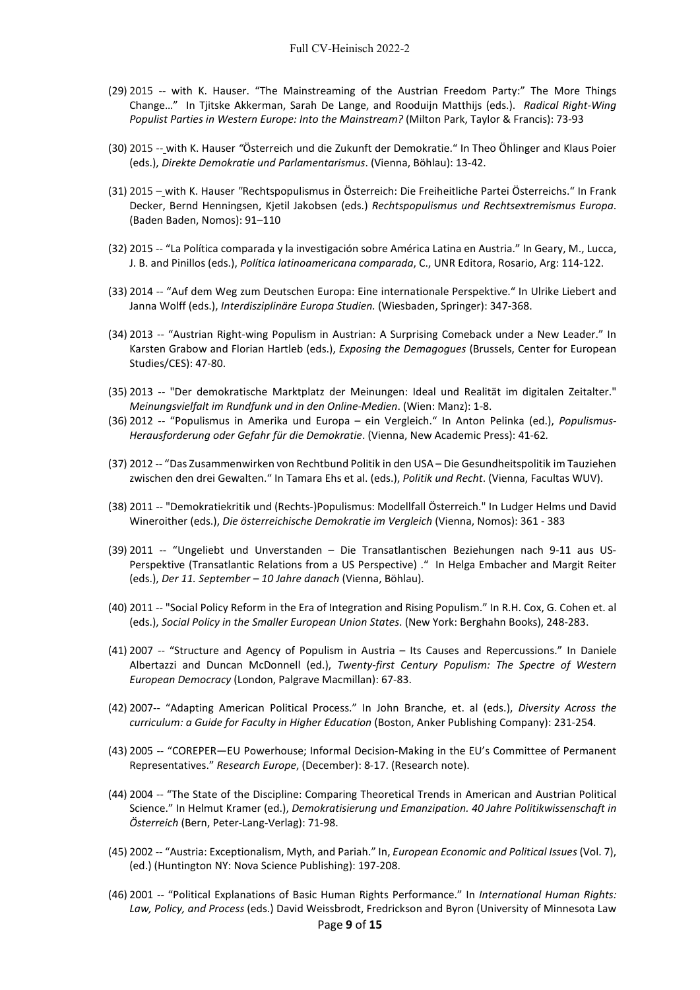- (29) 2015 -- with K. Hauser. "The Mainstreaming of the Austrian Freedom Party:" The More Things Change…" In Tjitske Akkerman, Sarah De Lange, and Rooduijn Matthijs (eds.). *Radical Right-Wing Populist Parties in Western Europe: Into the Mainstream?* (Milton Park, Taylor & Francis): 73-93
- (30) 2015 -- with K. Hauser *"*Österreich und die Zukunft der Demokratie." In Theo Öhlinger and Klaus Poier (eds.), *Direkte Demokratie und Parlamentarismus*. (Vienna, Böhlau): 13-42.
- (31) 2015 with K. Hauser *"*Rechtspopulismus in Österreich: Die Freiheitliche Partei Österreichs." In Frank Decker, Bernd Henningsen, Kjetil Jakobsen (eds.) *Rechtspopulismus und Rechtsextremismus Europa*. (Baden Baden, Nomos): 91–110
- (32) 2015 -- "La Política comparada y la investigación sobre América Latina en Austria." In Geary, M., Lucca, J. B. and Pinillos (eds.), *Política latinoamericana comparada*, C., UNR Editora, Rosario, Arg: 114-122.
- (33) 2014 -- "Auf dem Weg zum Deutschen Europa: Eine internationale Perspektive." In Ulrike Liebert and Janna Wolff (eds.), *Interdisziplinäre Europa Studien.* (Wiesbaden, Springer): 347-368.
- (34) 2013 -- "Austrian Right-wing Populism in Austrian: A Surprising Comeback under a New Leader." In Karsten Grabow and Florian Hartleb (eds.), *Exposing the Demagogues* (Brussels, Center for European Studies/CES): 47-80.
- (35) 2013 -- "Der demokratische Marktplatz der Meinungen: Ideal und Realität im digitalen Zeitalter." *Meinungsvielfalt im Rundfunk und in den Online-Medien*. (Wien: Manz): 1-8.
- (36) 2012 -- "Populismus in Amerika und Europa ein Vergleich." In Anton Pelinka (ed.), *Populismus-Herausforderung oder Gefahr für die Demokratie*. (Vienna, New Academic Press): 41-62*.*
- (37) 2012 -- "Das Zusammenwirken von Rechtbund Politik in den USA Die Gesundheitspolitik im Tauziehen zwischen den drei Gewalten." In Tamara Ehs et al. (eds.), *Politik und Recht*. (Vienna, Facultas WUV).
- (38) 2011 -- "Demokratiekritik und (Rechts-)Populismus: Modellfall Österreich." In Ludger Helms und David Wineroither (eds.), *Die österreichische Demokratie im Vergleich* (Vienna, Nomos): 361 - 383
- (39) 2011 -- "Ungeliebt und Unverstanden Die Transatlantischen Beziehungen nach 9-11 aus US-Perspektive (Transatlantic Relations from a US Perspective) ." In Helga Embacher and Margit Reiter (eds.), *Der 11. September – 10 Jahre danach* (Vienna, Böhlau).
- (40) 2011 -- "Social Policy Reform in the Era of Integration and Rising Populism." In R.H. Cox, G. Cohen et. al (eds.), *Social Policy in the Smaller European Union States*. (New York: Berghahn Books), 248-283.
- (41) 2007 -- "Structure and Agency of Populism in Austria Its Causes and Repercussions." In Daniele Albertazzi and Duncan McDonnell (ed.), *Twenty-first Century Populism: The Spectre of Western European Democracy* (London, Palgrave Macmillan): 67-83.
- (42) 2007-- "Adapting American Political Process." In John Branche, et. al (eds.), *Diversity Across the curriculum: a Guide for Faculty in Higher Education* (Boston, Anker Publishing Company): 231-254.
- (43) 2005 -- "COREPER—EU Powerhouse; Informal Decision-Making in the EU's Committee of Permanent Representatives." *Research Europe*, (December): 8-17. (Research note).
- (44) 2004 -- "The State of the Discipline: Comparing Theoretical Trends in American and Austrian Political Science." In Helmut Kramer (ed.), *Demokratisierung und Emanzipation. 40 Jahre Politikwissenschaft in Österreich* (Bern, Peter-Lang-Verlag): 71-98.
- (45) 2002 -- "Austria: Exceptionalism, Myth, and Pariah." In, *European Economic and Political Issues* (Vol. 7), (ed.) (Huntington NY: Nova Science Publishing): 197-208.
- (46) 2001 -- "Political Explanations of Basic Human Rights Performance." In *International Human Rights: Law, Policy, and Process* (eds.) David Weissbrodt, Fredrickson and Byron (University of Minnesota Law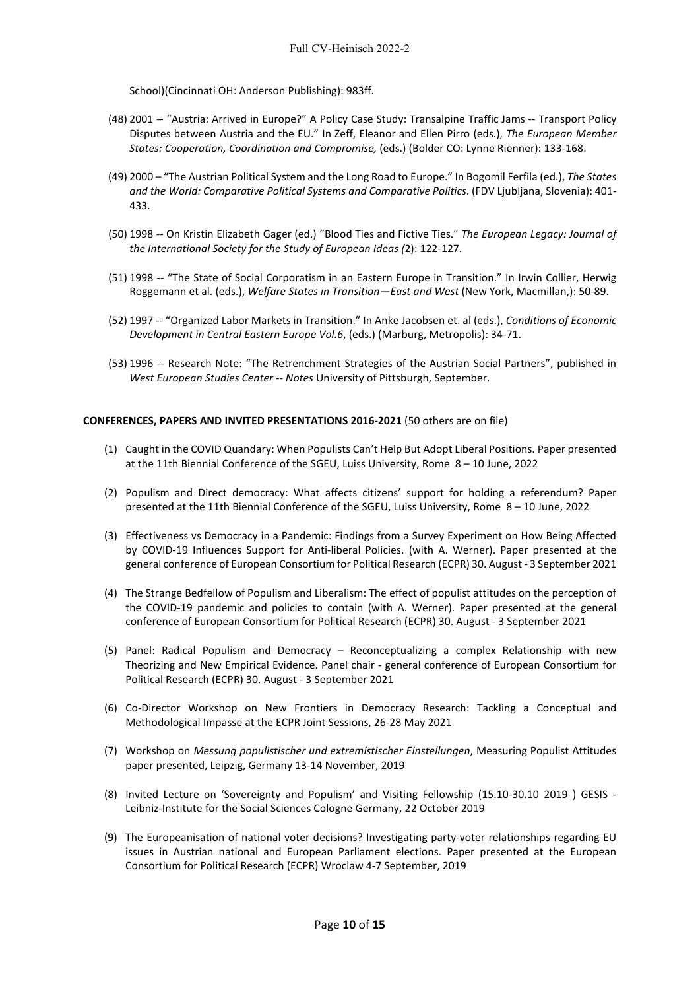School)(Cincinnati OH: Anderson Publishing): 983ff.

- (48) 2001 -- "Austria: Arrived in Europe?" A Policy Case Study: Transalpine Traffic Jams -- Transport Policy Disputes between Austria and the EU." In Zeff, Eleanor and Ellen Pirro (eds.), *The European Member States: Cooperation, Coordination and Compromise,* (eds.) (Bolder CO: Lynne Rienner): 133-168.
- (49) 2000 "The Austrian Political System and the Long Road to Europe." In Bogomil Ferfila (ed.), *The States and the World: Comparative Political Systems and Comparative Politics*. (FDV Ljubljana, Slovenia): 401- 433.
- (50) 1998 -- On Kristin Elizabeth Gager (ed.) "Blood Ties and Fictive Ties." *The European Legacy: Journal of the International Society for the Study of European Ideas (*2): 122-127.
- (51) 1998 -- "The State of Social Corporatism in an Eastern Europe in Transition." In Irwin Collier, Herwig Roggemann et al. (eds.), *Welfare States in Transition—East and West* (New York, Macmillan,): 50-89.
- (52) 1997 -- "Organized Labor Markets in Transition." In Anke Jacobsen et. al (eds.), *Conditions of Economic Development in Central Eastern Europe Vol.6*, (eds.) (Marburg, Metropolis): 34-71.
- (53) 1996 -- Research Note: "The Retrenchment Strategies of the Austrian Social Partners", published in *West European Studies Center -- Notes* University of Pittsburgh, September.

## **CONFERENCES, PAPERS AND INVITED PRESENTATIONS 2016-2021** (50 others are on file)

- (1) Caught in the COVID Quandary: When Populists Can't Help But Adopt Liberal Positions. Paper presented at the 11th Biennial Conference of the SGEU, Luiss University, Rome 8 – 10 June, 2022
- (2) Populism and Direct democracy: What affects citizens' support for holding a referendum? Paper presented at the 11th Biennial Conference of the SGEU, Luiss University, Rome 8 – 10 June, 2022
- (3) Effectiveness vs Democracy in a Pandemic: Findings from a Survey Experiment on How Being Affected by COVID-19 Influences Support for Anti-liberal Policies. (with A. Werner). Paper presented at the general conference of European Consortium for Political Research (ECPR) 30. August - 3 September 2021
- (4) The Strange Bedfellow of Populism and Liberalism: The effect of populist attitudes on the perception of the COVID-19 pandemic and policies to contain (with A. Werner). Paper presented at the general conference of European Consortium for Political Research (ECPR) 30. August - 3 September 2021
- (5) Panel: Radical Populism and Democracy Reconceptualizing a complex Relationship with new Theorizing and New Empirical Evidence. Panel chair - general conference of European Consortium for Political Research (ECPR) 30. August - 3 September 2021
- (6) Co-Director Workshop on New Frontiers in Democracy Research: Tackling a Conceptual and Methodological Impasse at the ECPR Joint Sessions, 26-28 May 2021
- (7) Workshop on *Messung populistischer und extremistischer Einstellungen*, Measuring Populist Attitudes paper presented, Leipzig, Germany 13-14 November, 2019
- (8) Invited Lecture on 'Sovereignty and Populism' and Visiting Fellowship (15.10-30.10 2019 ) GESIS Leibniz-Institute for the Social Sciences Cologne Germany, 22 October 2019
- (9) The Europeanisation of national voter decisions? Investigating party-voter relationships regarding EU issues in Austrian national and European Parliament elections. Paper presented at the European Consortium for Political Research (ECPR) Wroclaw 4-7 September, 2019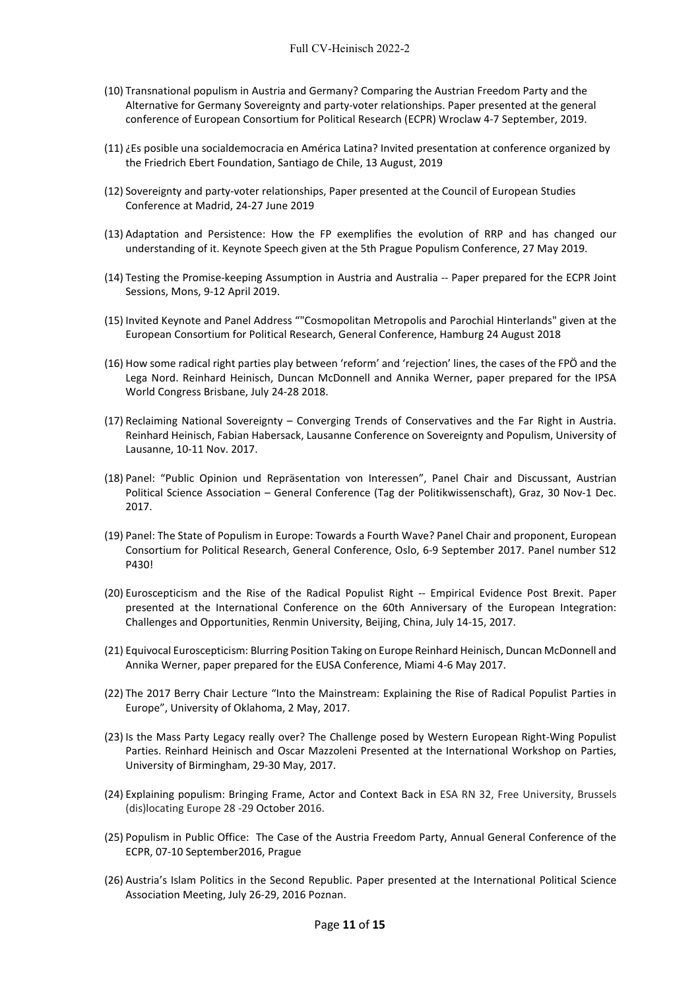- (10) Transnational populism in Austria and Germany? Comparing the Austrian Freedom Party and the Alternative for Germany Sovereignty and party-voter relationships. Paper presented at the general conference of European Consortium for Political Research (ECPR) Wroclaw 4-7 September, 2019.
- (11) ¿Es posible una socialdemocracia en América Latina? Invited presentation at conference organized by the Friedrich Ebert Foundation, Santiago de Chile, 13 August, 2019
- (12) Sovereignty and party-voter relationships, Paper presented at the Council of European Studies Conference at Madrid, 24-27 June 2019
- (13) Adaptation and Persistence: How the FP exemplifies the evolution of RRP and has changed our understanding of it. Keynote Speech given at the 5th Prague Populism Conference, 27 May 2019.
- (14) Testing the Promise-keeping Assumption in Austria and Australia -- Paper prepared for the ECPR Joint Sessions, Mons, 9-12 April 2019.
- (15) Invited Keynote and Panel Address ""Cosmopolitan Metropolis and Parochial Hinterlands" given at the European Consortium for Political Research, General Conference, Hamburg 24 August 2018
- (16) How some radical right parties play between 'reform' and 'rejection' lines, the cases of the FPÖ and the Lega Nord. Reinhard Heinisch, Duncan McDonnell and Annika Werner, paper prepared for the IPSA World Congress Brisbane, July 24-28 2018.
- (17) Reclaiming National Sovereignty Converging Trends of Conservatives and the Far Right in Austria. Reinhard Heinisch, Fabian Habersack, Lausanne Conference on Sovereignty and Populism, University of Lausanne, 10-11 Nov. 2017.
- (18) Panel: "Public Opinion und Repräsentation von Interessen", Panel Chair and Discussant, Austrian Political Science Association – General Conference (Tag der Politikwissenschaft), Graz, 30 Nov-1 Dec. 2017.
- (19) Panel: The State of Populism in Europe: Towards a Fourth Wave? Panel Chair and proponent, European Consortium for Political Research, General Conference, Oslo, 6-9 September 2017. Panel number S12 P430!
- (20) Euroscepticism and the Rise of the Radical Populist Right -- Empirical Evidence Post Brexit. Paper presented at the International Conference on the 60th Anniversary of the European Integration: Challenges and Opportunities, Renmin University, Beijing, China, July 14-15, 2017.
- (21) Equivocal Euroscepticism: Blurring Position Taking on Europe Reinhard Heinisch, Duncan McDonnell and Annika Werner, paper prepared for the EUSA Conference, Miami 4-6 May 2017.
- (22) The 2017 Berry Chair Lecture "Into the Mainstream: Explaining the Rise of Radical Populist Parties in Europe", University of Oklahoma, 2 May, 2017.
- (23) Is the Mass Party Legacy really over? The Challenge posed by Western European Right-Wing Populist Parties. Reinhard Heinisch and Oscar Mazzoleni Presented at the International Workshop on Parties, University of Birmingham, 29-30 May, 2017.
- (24) Explaining populism: Bringing Frame, Actor and Context Back in ESA RN 32, Free University, Brussels (dis)locating Europe 28 -29 October 2016.
- (25) Populism in Public Office: The Case of the Austria Freedom Party, Annual General Conference of the ECPR, 07-10 September2016, Prague
- (26) Austria's Islam Politics in the Second Republic. Paper presented at the International Political Science Association Meeting, July 26-29, 2016 Poznan.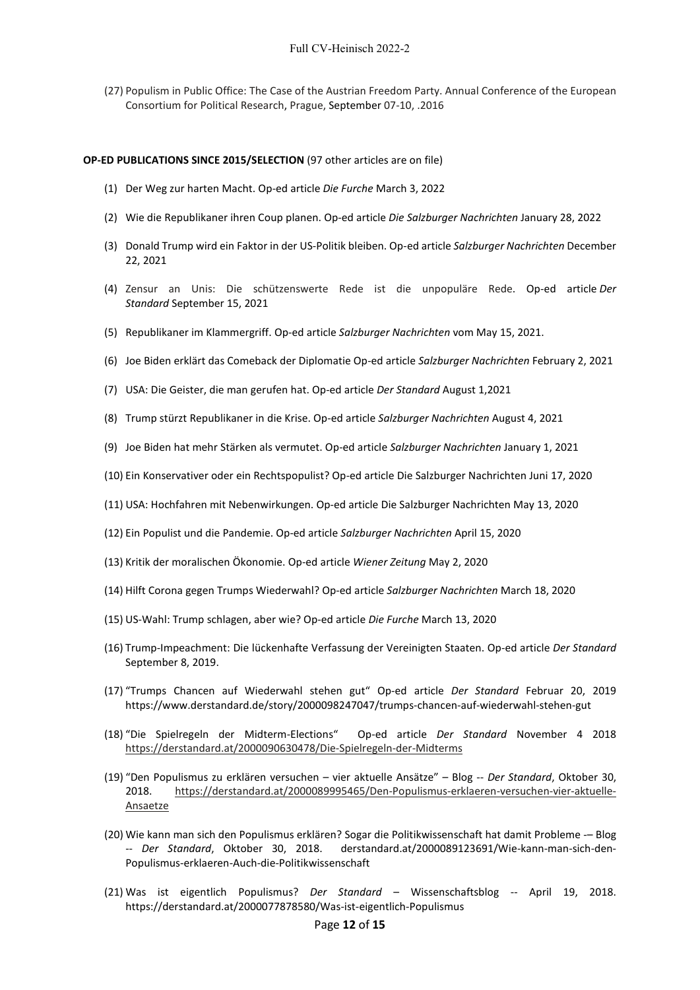(27) Populism in Public Office: The Case of the Austrian Freedom Party. Annual Conference of the European Consortium for Political Research, Prague, September 07-10, .2016

#### **OP-ED PUBLICATIONS SINCE 2015/SELECTION** (97 other articles are on file)

- (1) Der Weg zur harten Macht. Op-ed article *Die Furche* March 3, 2022
- (2) Wie die Republikaner ihren Coup planen. Op-ed article *Die Salzburger Nachrichten* January 28, 2022
- (3) Donald Trump wird ein Faktor in der US-Politik bleiben. Op-ed article *Salzburger Nachrichten* December 22, 2021
- (4) [Zensur an Unis: Die schützenswerte Rede ist die unpopuläre Rede.](https://www.derstandard.at/story/2000129650762/zensur-an-unis-die-schuetzenswerte-rede-ist-die-unpopulaere-rede) Op-ed article *Der Standard* September 15, 2021
- (5) Republikaner im Klammergriff. Op-ed article *Salzburger Nachrichten* vom May 15, 2021.
- (6) Joe Biden erklärt das Comeback der Diplomatie Op-ed article *Salzburger Nachrichten* February 2, 2021
- (7) USA: Die Geister, die man gerufen hat. Op-ed article *Der Standard* August 1,2021
- (8) Trump stürzt Republikaner in die Krise. Op-ed article *Salzburger Nachrichten* August 4, 2021
- (9) Joe Biden hat mehr Stärken als vermutet. Op-ed article *Salzburger Nachrichten* January 1, 2021
- (10) Ein Konservativer oder ein Rechtspopulist? Op-ed article Die Salzburger Nachrichten Juni 17, 2020
- (11) USA: Hochfahren mit Nebenwirkungen. Op-ed article Die Salzburger Nachrichten May 13, 2020
- (12) Ein Populist und die Pandemie. Op-ed article *Salzburger Nachrichten* April 15, 2020
- (13) Kritik der moralischen Ökonomie. Op-ed article *Wiener Zeitung* May 2, 2020
- (14) Hilft Corona gegen Trumps Wiederwahl? Op-ed article *Salzburger Nachrichten* March 18, 2020
- (15) US-Wahl: Trump schlagen, aber wie? Op-ed article *Die Furche* March 13, 2020
- (16) Trump-Impeachment: Die lückenhafte Verfassung der Vereinigten Staaten. Op-ed article *Der Standard* September 8, 2019.
- (17) "Trumps Chancen auf Wiederwahl stehen gut" Op-ed article *Der Standard* Februar 20, 2019 https://www.derstandard.de/story/2000098247047/trumps-chancen-auf-wiederwahl-stehen-gut
- (18) "Die Spielregeln der Midterm-Elections" Op-ed article *Der Standard* November 4 2018 <https://derstandard.at/2000090630478/Die-Spielregeln-der-Midterms>
- (19) "Den Populismus zu erklären versuchen vier aktuelle Ansätze" Blog -- *Der Standard*, Oktober 30, 2018. [https://derstandard.at/2000089995465/Den-Populismus-erklaeren-versuchen-vier-aktuelle-](https://derstandard.at/2000089995465/Den-Populismus-erklaeren-versuchen-vier-aktuelle-Ansaetze)[Ansaetze](https://derstandard.at/2000089995465/Den-Populismus-erklaeren-versuchen-vier-aktuelle-Ansaetze)
- (20) Wie kann man sich den Populismus erklären? Sogar die Politikwissenschaft hat damit Probleme -– Blog -- *Der Standard*, Oktober 30, 2018. derstandard.at/2000089123691/Wie-kann-man-sich-den-Populismus-erklaeren-Auch-die-Politikwissenschaft
- (21) Was ist eigentlich Populismus? *Der Standard* Wissenschaftsblog -- April 19, 2018. https://derstandard.at/2000077878580/Was-ist-eigentlich-Populismus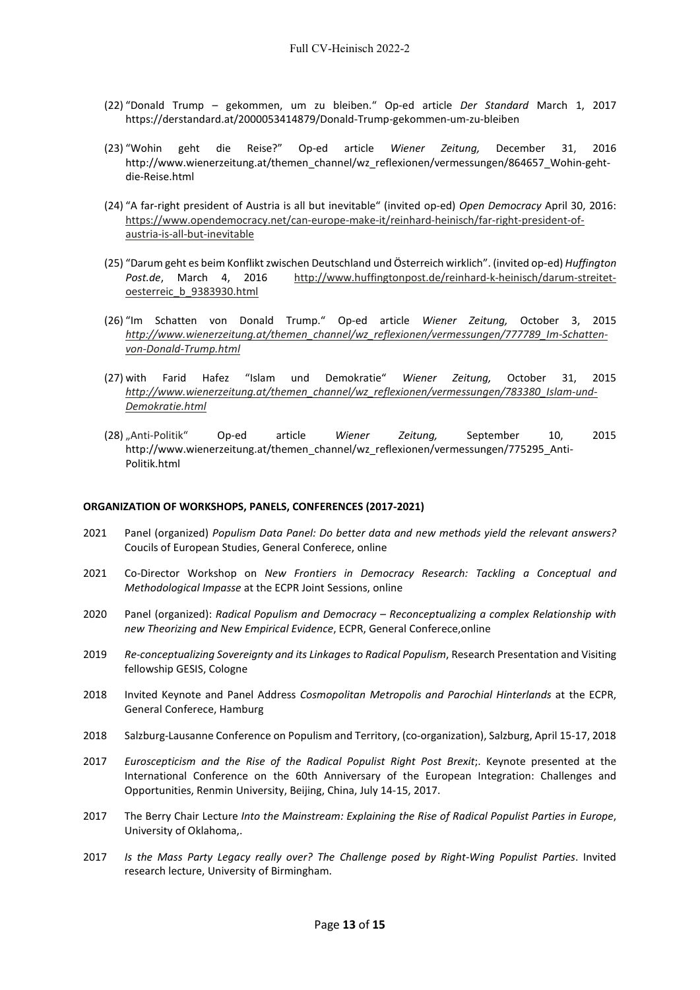- (22) "Donald Trump gekommen, um zu bleiben." Op-ed article *Der Standard* March 1, 2017 https://derstandard.at/2000053414879/Donald-Trump-gekommen-um-zu-bleiben
- (23) "Wohin geht die Reise?" Op-ed article *Wiener Zeitung,* December 31, 2016 http://www.wienerzeitung.at/themen\_channel/wz\_reflexionen/vermessungen/864657\_Wohin-gehtdie-Reise.html
- (24) "A far-right president of Austria is all but inevitable" (invited op-ed) *Open Democracy* April 30, 2016: [https://www.opendemocracy.net/can-europe-make-it/reinhard-heinisch/far-right-president-of](https://www.opendemocracy.net/can-europe-make-it/reinhard-heinisch/far-right-president-of-austria-is-all-but-inevitable)[austria-is-all-but-inevitable](https://www.opendemocracy.net/can-europe-make-it/reinhard-heinisch/far-right-president-of-austria-is-all-but-inevitable)
- (25) "Darum geht es beim Konflikt zwischen Deutschland und Österreich wirklich". (invited op-ed) *Huffington Post.de*, March 4, 2016 [http://www.huffingtonpost.de/reinhard-k-heinisch/darum-streitet](http://www.huffingtonpost.de/reinhard-k-heinisch/darum-streitet-oesterreic_b_9383930.html)[oesterreic\\_b\\_9383930.html](http://www.huffingtonpost.de/reinhard-k-heinisch/darum-streitet-oesterreic_b_9383930.html)
- (26) "Im Schatten von Donald Trump." Op-ed article *Wiener Zeitung,* October 3, 2015 *[http://www.wienerzeitung.at/themen\\_channel/wz\\_reflexionen/vermessungen/777789\\_Im-Schatten](http://www.wienerzeitung.at/themen_channel/wz_reflexionen/vermessungen/777789_Im-Schatten-von-Donald-Trump.html)[von-Donald-Trump.html](http://www.wienerzeitung.at/themen_channel/wz_reflexionen/vermessungen/777789_Im-Schatten-von-Donald-Trump.html)*
- (27) with Farid Hafez "Islam und Demokratie" *Wiener Zeitung,* October 31, 2015 *[http://www.wienerzeitung.at/themen\\_channel/wz\\_reflexionen/vermessungen/783380\\_Islam-und-](http://www.wienerzeitung.at/themen_channel/wz_reflexionen/vermessungen/783380_Islam-und-Demokratie.html)[Demokratie.html](http://www.wienerzeitung.at/themen_channel/wz_reflexionen/vermessungen/783380_Islam-und-Demokratie.html)*
- (28) "Anti-Politik" Op-ed article *Wiener Zeitung,* September 10, 2015 http://www.wienerzeitung.at/themen\_channel/wz\_reflexionen/vermessungen/775295\_Anti-Politik.html

#### **ORGANIZATION OF WORKSHOPS, PANELS, CONFERENCES (2017-2021)**

- 2021 Panel (organized) *Populism Data Panel: Do better data and new methods yield the relevant answers?* Coucils of European Studies, General Conferece, online
- 2021 Co-Director Workshop on *New Frontiers in Democracy Research: Tackling a Conceptual and Methodological Impasse* at the ECPR Joint Sessions, online
- 2020 Panel (organized): *Radical Populism and Democracy – Reconceptualizing a complex Relationship with new Theorizing and New Empirical Evidence*, ECPR, General Conferece,online
- 2019 *Re-conceptualizing Sovereignty and its Linkages to Radical Populism*, Research Presentation and Visiting fellowship GESIS, Cologne
- 2018 Invited Keynote and Panel Address *Cosmopolitan Metropolis and Parochial Hinterlands* at the ECPR, General Conferece, Hamburg
- 2018 Salzburg-Lausanne Conference on Populism and Territory, (co-organization), Salzburg, April 15-17, 2018
- 2017 *Euroscepticism and the Rise of the Radical Populist Right Post Brexit*;. Keynote presented at the International Conference on the 60th Anniversary of the European Integration: Challenges and Opportunities, Renmin University, Beijing, China, July 14-15, 2017.
- 2017 The Berry Chair Lecture *Into the Mainstream: Explaining the Rise of Radical Populist Parties in Europe*, University of Oklahoma,.
- 2017 *Is the Mass Party Legacy really over? The Challenge posed by Right-Wing Populist Parties*. Invited research lecture, University of Birmingham.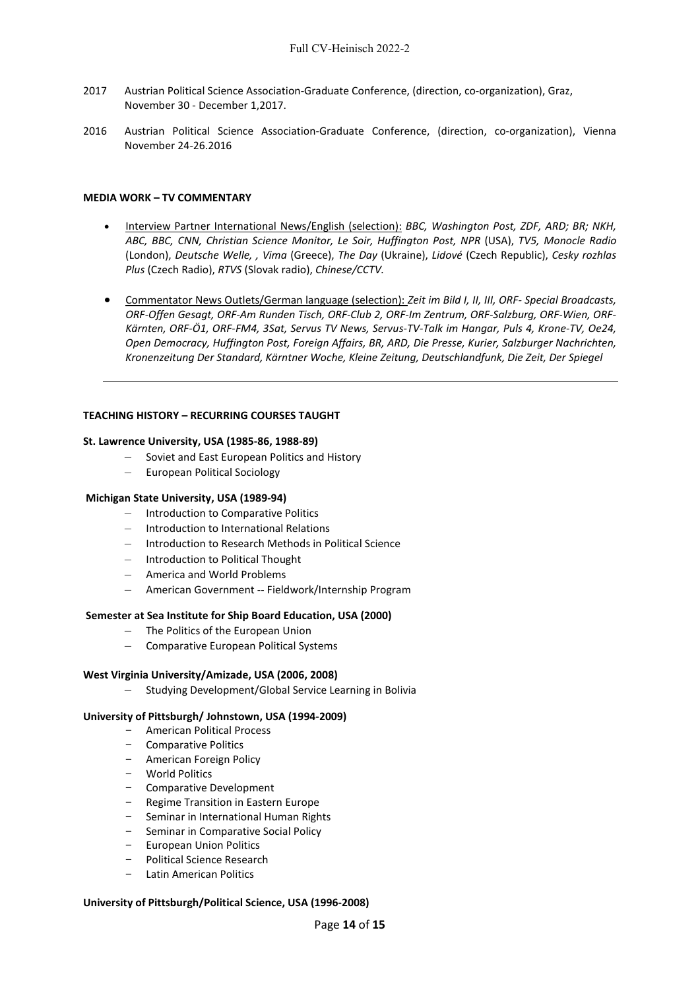- 2017 Austrian Political Science Association-Graduate Conference, (direction, co-organization), Graz, November 30 - December 1,2017.
- 2016 Austrian Political Science Association-Graduate Conference, (direction, co-organization), Vienna November 24-26.2016

#### **MEDIA WORK – TV COMMENTARY**

- Interview Partner International News/English (selection): *BBC, Washington Post, ZDF, ARD; BR; NKH, ABC, BBC, CNN, Christian Science Monitor, Le Soir, Huffington Post, NPR* (USA), *TV5, Monocle Radio* (London), *Deutsche Welle, , Vima* (Greece), *The Day* (Ukraine), *Lidové* (Czech Republic), *Cesky rozhlas Plus* (Czech Radio), *RTVS* (Slovak radio), *Chinese/CCTV.*
- Commentator News Outlets/German language (selection): *Zeit im Bild I, II, III, ORF- Special Broadcasts, ORF-Offen Gesagt, ORF-Am Runden Tisch, ORF-Club 2, ORF-Im Zentrum, ORF-Salzburg, ORF-Wien, ORF-Kärnten, ORF-Ö1, ORF-FM4, 3Sat, Servus TV News, Servus-TV-Talk im Hangar, Puls 4, Krone-TV, Oe24, Open Democracy, Huffington Post, Foreign Affairs, BR, ARD, Die Presse, Kurier, Salzburger Nachrichten, Kronenzeitung Der Standard, Kärntner Woche, Kleine Zeitung, Deutschlandfunk, Die Zeit, Der Spiegel*

#### **TEACHING HISTORY – RECURRING COURSES TAUGHT**

#### **St. Lawrence University, USA (1985-86, 1988-89)**

- Soviet and East European Politics and History
- European Political Sociology

## **Michigan State University, USA (1989-94)**

- Introduction to Comparative Politics
- Introduction to International Relations
- Introduction to Research Methods in Political Science
- Introduction to Political Thought
- America and World Problems
- American Government -- Fieldwork/Internship Program

## **Semester at Sea Institute for Ship Board Education, USA (2000)**

- The Politics of the European Union
- Comparative European Political Systems

## **West Virginia University/Amizade, USA (2006, 2008)**

– Studying Development/Global Service Learning in Bolivia

## **University of Pittsburgh/ Johnstown, USA (1994-2009)**

- American Political Process
- Comparative Politics
- American Foreign Policy
- World Politics
- Comparative Development
- Regime Transition in Eastern Europe
- Seminar in International Human Rights
- Seminar in Comparative Social Policy
- European Union Politics
- Political Science Research
- Latin American Politics

## **University of Pittsburgh/Political Science, USA (1996-2008)**